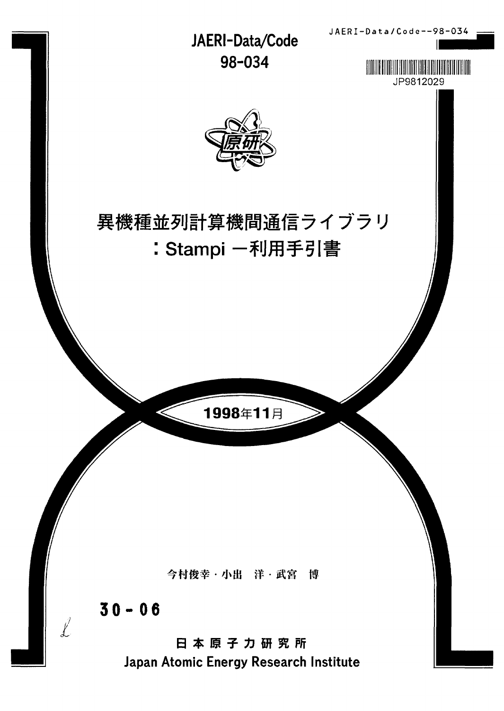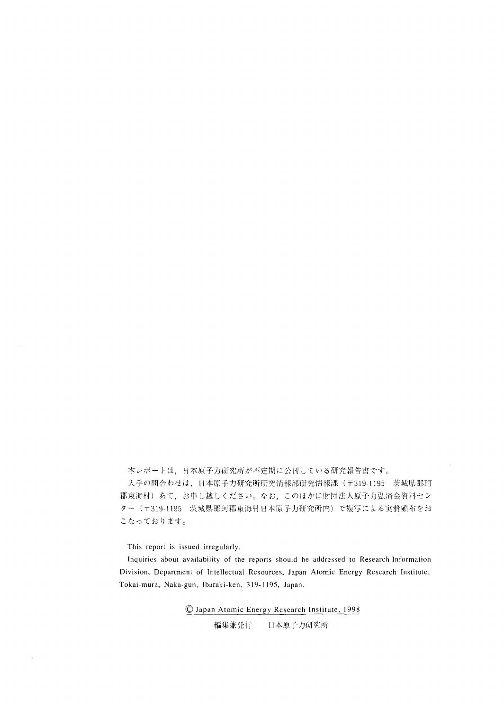本レポートは、日本原子力研究所が不定期に公刊している研究報告書です。

入手の問合わせは、日本原子力研究所研究情報部研究情報課 (〒319-1195 茨城県那珂 郡東海村)あて、お申し越しください。なお、このほかに財団法人原子力弘済会資料セン ター (〒319-1195 茨城県那珂郡東海村日本原子力研究所内)で複写による実費頒布をお こなっております。

This report is issued irregularly.

Inquiries about availability of the reports should be addressed to Research Information Division, Department of Intellectual Resources, Japan Atomic Energy Research Institute, Tokai-mura, Naka-gun, Ibaraki-ken, 319-1195, Japan.

> © Japan Atomic Energy Research Institute, 1998 日本原子力研究所 編集兼発行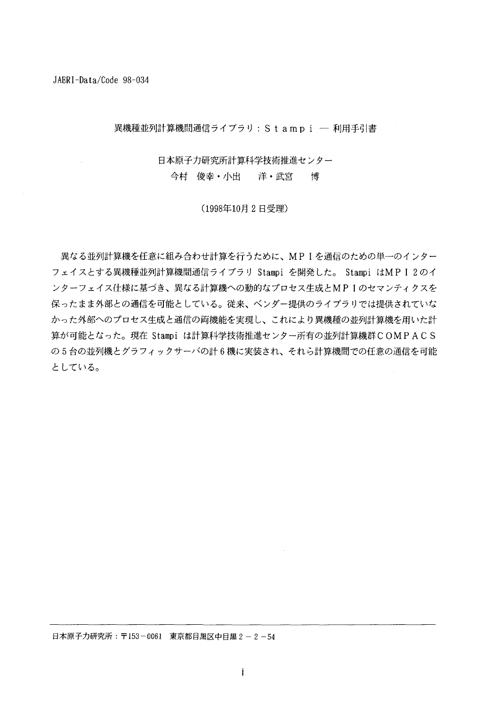異機種並列計算機間通信ライブラリ: S t a m p i - 利用手引書

日本原子力研究所計算科学技術推進センター 今村 俊幸・小出 洋・武宮 博

(1998年10月2日受理)

異なる並列計算機を任意に組み合わせ計算を行うために、MPIを通信のための単一のインター フェイスとする異機種並列計算機間通信ライブラリ Stampi を開発した。 Stampi はMPI2のイ ンターフェイス仕様に基づき、異なる計算機への動的なプロセス生成とMPIのセマンティクスを 保ったまま外部との通信を可能としている。従来、ベンダー提供のライブラリでは提供されていな かった外部へのプロセス生成と通信の両機能を実現し、これにより異機種の並列計算機を用いた計 算が可能となった。現在 Stampi は計算科学技術推進センター所有の並列計算機群COMPACS の5台の並列機とグラフィックサーバの計6機に実装され、それら計算機間での任意の通信を可能 としている。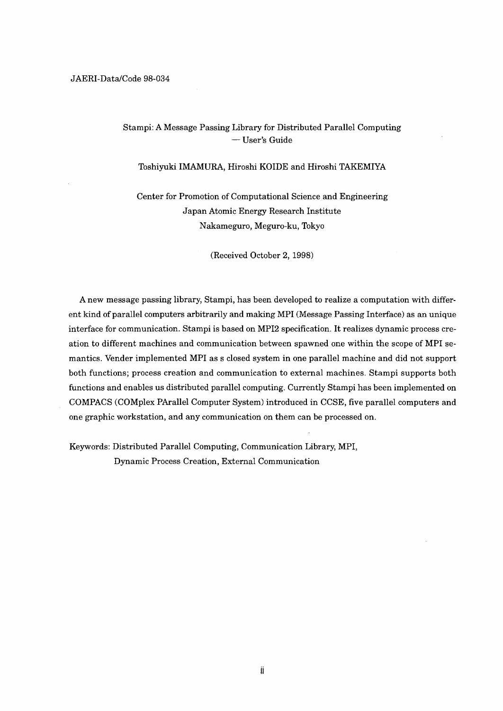# Stampi: A Message Passing Library for Distributed Parallel Computing — User's Guide

### Toshiyuki IMAMURA, Hiroshi KOIDE and Hiroshi TAKEMIYA

Center for Promotion of Computational Science and Engineering Japan Atomic Energy Research Institute Nakameguro, Meguro-ku, Tokyo

(Received October 2, 1998)

A new message passing library, Stampi, has been developed to realize a computation with different kind of parallel computers arbitrarily and making MPI (Message Passing Interface) as an unique interface for communication. Stampi is based on MPI2 specification. It realizes dynamic process creation to different machines and communication between spawned one within the scope of MPI semantics. Vender implemented MPI as s closed system in one parallel machine and did not support both functions; process creation and communication to external machines. Stampi supports both functions and enables us distributed parallel computing. Currently Stampi has been implemented on COMPACS (COMplex PArallel Computer System) introduced in CCSE, five parallel computers and one graphic workstation, and any communication on them can be processed on.

Keywords: Distributed Parallel Computing, Communication Library, MPI, Dynamic Process Creation, External Communication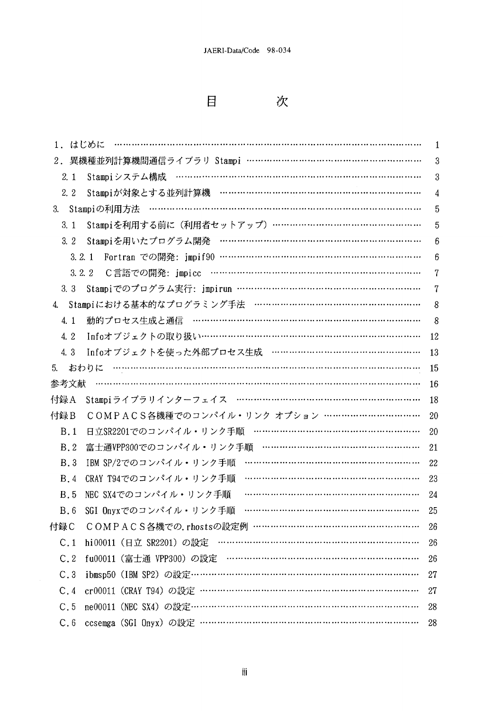$\blacksquare$ 

次

| 1.はじめに                                            | 1  |
|---------------------------------------------------|----|
| 異機種並列計算機間通信ライブラリ Stampi …………………………………………………<br>2. | 3  |
| 2.1<br>Stampiシステム構成                               | 3  |
| Stampiが対象とする並列計算機 …………………………………………………………<br>2. 2  | 4  |
| 3.                                                | 5  |
| Stampiを利用する前に (利用者セットアップ) …………………………………………<br>3.1 | 5  |
| Stampiを用いたプログラム開発 ……………………………………………………………<br>3.2  | 6  |
| 3.2.1                                             | 6  |
| 3.2.2                                             | 7  |
| 3, 3                                              | 7  |
| Stampiにおける基本的なプログラミング手法 …………………………………………………<br>4. | 8  |
| 動的プロセス生成と通信 ………………………………………………………………<br>4.1       | 8  |
| Infoオブジェクトの取り扱い………………………………………………………………<br>4.2    | 12 |
| Infoオブジェクトを使った外部プロセス生成 …………………………………………<br>4.3    | 13 |
| 5.                                                | 15 |
| 参考文献                                              | 16 |
| 付録A                                               | 18 |
| COMPACS各機種でのコンパイル・リンク オプション ……………………………<br>付録B    | 20 |
| 日立SR2201でのコンパイル・リンク手順 ………………………………………………<br>B.1   | 20 |
| 富士通VPP300でのコンパイル・リンク手順 ……………………………………………<br>B.2   | 21 |
| IBM SP/2でのコンパイル・リンク手順<br><b>B.3</b>               | 22 |
| CRAY T94でのコンパイル・リンク手順<br><b>B.4</b>               | 23 |
| NEC SX4でのコンパイル・リンク手順<br><b>B.5</b>                | 24 |
| SGI Onyxでのコンパイル・リンク手順<br>B.6                      | 25 |
| COMPACS各機での.rhostsの設定例 ………………………………………………<br>付録C  | 26 |
| C.1                                               | 26 |
| C.2                                               | 26 |
| C.3                                               | 27 |
| C.4                                               | 27 |
| C.5                                               | 28 |
| C.6                                               | 28 |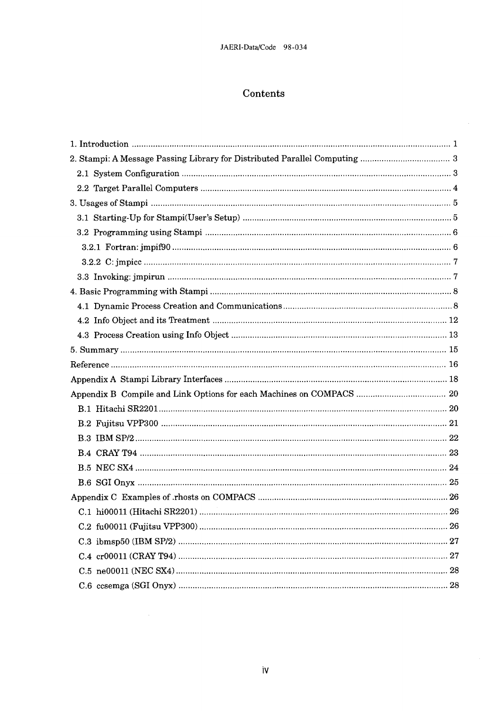# Contents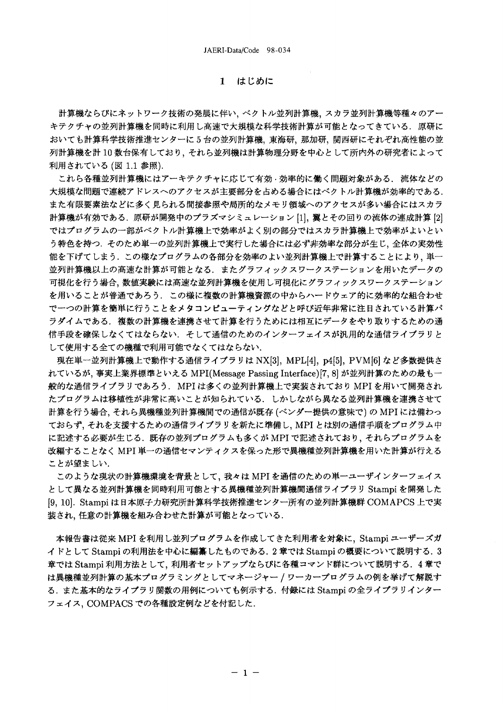## 1 はじめに

計算機ならびにネットワーク技術の発展に伴い、ベクトル並列計算機、スカラ並列計算機等種々のアー キテクチャの並列計算機を同時に利用し高速で大規模な科学技術計算が可能となってきている。原研に おいても計算科学技術推進センターに5台の並列計算機、東海研、那加研、関西研にそれぞれ高性能の並 列計算機を計10数台保有しており、それら並列機は計算物理分野を中心として所内外の研究者によって 利用されている (図 1.1 参照).

これら各種並列計算機にはアーキテクチャに応じて有効·効率的に働く問題対象がある. 流体などの 大規模な問題で連続アドレスへのアクセスが主要部分を占める場合にはベクトル計算機が効率的である. また有限要素法などに多く見られる間接参照や局所的なメモリ領域へのアクセスが多い場合にはスカラ 計算機が有効である. 原研が開発中のプラズマシミュレーション [1]. 翼とその回りの流体の連成計算 [2] ではプログラムの一部がベクトル計算機上で効率がよく別の部分ではスカラ計算機上で効率がよいとい う特色を持つ、そのため単一の並列計算機上で実行した場合には必ず非効率な部分が生じ、全体の実効性 能を下げてしまう。この様なプログラムの各部分を効率のよい並列計算機上で計算することにより、単一 並列計算機以上の高速な計算が可能となる、またグラフィックスワークステーションを用いたデータの 可視化を行う場合、数値実験には高速な並列計算機を使用し可視化にグラフィックスワークステーション を用いることが普通であろう。この様に複数の計算機資源の中からハードウェア的に効率的な組合わせ で一つの計算を簡単に行うことをメタコンピューティングなどと呼び近年非常に注目されている計算パ ラダイムである、複数の計算機を連携させて計算を行うためには相互にデータをやり取りするための通 信手段を確保しなくてはならない、そして通信のためのインターフェイスが汎用的な通信ライブラリと して使用する全ての機種で利用可能でなくてはならない.

現在単一並列計算機上で動作する通信ライブラリは NX[3], MPL[4], p4[5], PVM[6] など多数提供さ れているが、事実上業界標準といえる MPI(Message Passing Interface) [7, 8] が並列計算のための最も一 般的な通信ライブラリであろう.MPI は多くの並列計算機上で実装されており MPI を用いて開発され たプログラムは移植性が非常に高いことが知られている。しかしながら異なる並列計算機を連携させて 計算を行う場合、それら異機種並列計算機間での通信が既存 (ベンダー提供の意味で) の MPI には備わっ ておらず、それを支援するための通信ライブラリを新たに準備し、MPIとは別の通信手順をプログラム中 に記述する必要が生じる. 既存の並列プログラムも多くが MPI で記述されており、それらプログラムを 改編することなく MPI 単一の通信セマンティクスを保った形で異機種並列計算機を用いた計算が行える ことが望ましい.

このような現状の計算機環境を背景として、我々は MPI を通信のための単一ユーザインターフェイス として異なる並列計算機を同時利用可能とする異機種並列計算機間通信ライブラリ Stampi を開発した [9, 10]. Stampi は日本原子力研究所計算科学技術推進センター所有の並列計算機群 COMAPCS 上で実 装され、任意の計算機を組み合わせた計算が可能となっている.

本報告書は従来 MPI を利用し並列プログラムを作成してきた利用者を対象に、Stampi ユーザーズガ イドとして Stampi の利用法を中心に編纂したものである. 2 章では Stampi の概要について説明する. 3 章では Stampi 利用方法として、利用者セットアップならびに各種コマンド群について説明する. 4章で は異機種並列計算の基本プログラミングとしてマネージャー / ワーカープログラムの例を挙げて解説す る. また基本的なライブラリ関数の用例についても例示する. 付録には Stampi の全ライブラリインター フェイス, COMPACS での各種設定例などを付記した.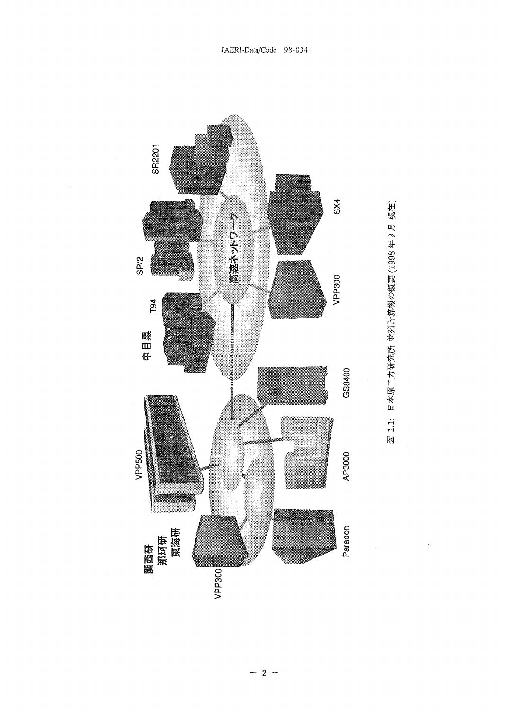

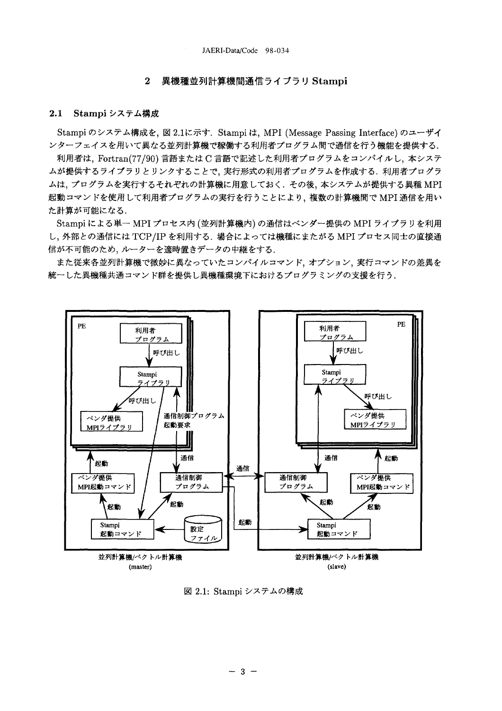#### 異機種並列計算機間通信ライブラリ Stampi  $\overline{2}$

#### $2.1$ Stampi システム構成

Stampi のシステム構成を, 図 2.1に示す. Stampi は, MPI (Message Passing Interface) のユーザイ ンターフェイスを用いて異なる並列計算機で稼働する利用者プログラム間で通信を行う機能を提供する. 利用者は、Fortran(77/90)言語またはC言語で記述した利用者プログラムをコンパイルし、本システ

ムが提供するライブラリとリンクすることで、実行形式の利用者プログラムを作成する. 利用者プログラ ムは、プログラムを実行するそれぞれの計算機に用意しておく、その後、本システムが提供する異種 MPI 起動コマンドを使用して利用者プログラムの実行を行うことにより、複数の計算機間で MPI 通信を用い た計算が可能になる.

Stampi による単一 MPI プロセス内 (並列計算機内) の通信はベンダー提供の MPI ライブラリを利用 し、外部との通信には TCP/IP を利用する. 場合によっては機種にまたがる MPI プロセス同士の直接通 信が不可能のため、ルーターを適時置きデータの中継をする.

また従来各並列計算機で微妙に異なっていたコンパイルコマンド、オプション、実行コマンドの差異を 統一した異機種共通コマンド群を提供し異機種環境下におけるプログラミングの支援を行う。



図 2.1: Stampi システムの構成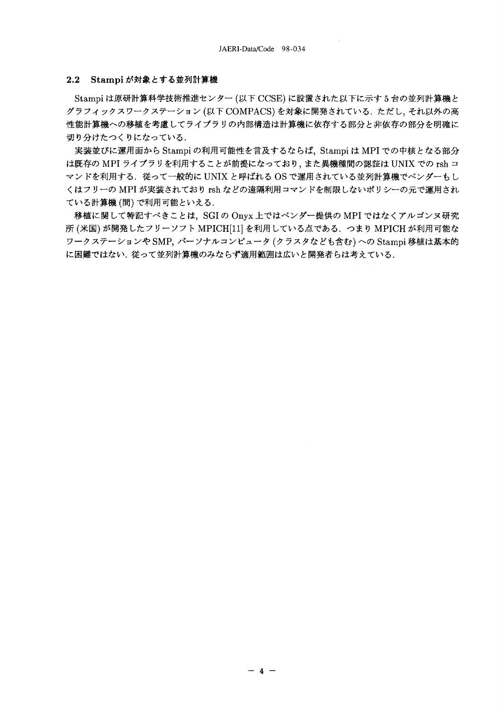### 2.2 Stampi が対象とする並列計算機

Stampi は原研計算科学技術推進センター (以下 CCSE) に設置された以下に示す5台の並列計算機と グラフィックスワークステーション(以下 COMPACS)を対象に開発されている. ただし、それ以外の高 性能計算機への移植を考慮してライブラリの内部構造は計算機に依存する部分と非依存の部分を明確に 切り分けたつくりになっている.

実装並びに運用面から Stampi の利用可能性を言及するならば、Stampi は MPI での中核となる部分 は既存の MPI ライブラリを利用することが前提になっており、また異機種間の認証は UNIX での rsh コ マンドを利用する. 従って一般的に UNIX と呼ばれる OS で運用されている並列計算機でベンダーもし くはフリーの MPI が実装されており rsh などの遠隔利用コマンドを制限しないポリシーの元で運用され ている計算機(間)で利用可能といえる.

移植に関して特記すべきことは、SGIのOnyx上ではベンダー提供のMPIではなくアルゴンヌ研究 所 (米国) が開発したフリーソフト MPICH[11] を利用している点である. つまり MPICH が利用可能な ワークステーションや SMP, パーソナルコンピュータ (クラスタなども含む)への Stampi 移植は基本的 に困難ではない. 従って並列計算機のみならず適用範囲は広いと開発者らは考えている.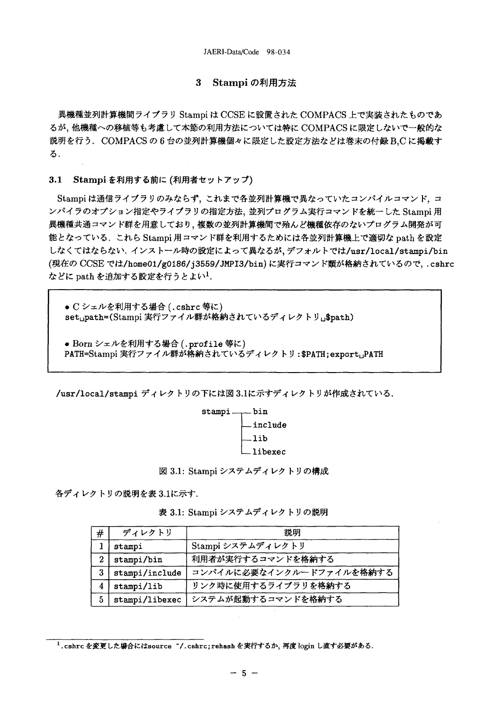#### $\mathbf{3}$ Stampi の利用方法

異機種並列計算機間ライブラリ Stampi は CCSE に設置された COMPACS 上で実装されたものであ るが、他機種への移植等も考慮して本節の利用方法については特に COMPACS に限定しないで一般的な 説明を行う. COMPACSの6台の並列計算機個々に限定した設定方法などは巻末の付録B,Cに掲載す  $\mathbf{Z}$ .

#### $3.1$ Stampi を利用する前に (利用者セットアップ)

Stampi は通信ライブラリのみならず、これまで各並列計算機で異なっていたコンパイルコマンド、コ ンパイラのオプション指定やライブラリの指定方法、並列プログラム実行コマンドを統一した Stampi 用 異機種共通コマンド群を用意しており、複数の並列計算機間で殆んど機種依存のないプログラム開発が可 能となっている. これら Stampi 用コマンド群を利用するためには各並列計算機上で適切な path を設定 しなくてはならない. インストール時の設定によって異なるが、デフォルトでは/usr/local/stampi/bin (現在の CCSE では/home01/g0186/j3559/JMPI3/bin)に実行コマンド類が格納されているので、.cshrc などに path を追加する設定を行うとよい1.

● C シェルを利用する場合 (.cshrc 等に) setupath=(Stampi 実行ファイル群が格納されているディレクトリu\$path)

● Born シェルを利用する場合 (.profile 等に) PATH=Stampi 実行ファイル群が格納されているディレクトリ:\$PATH;exportuPATH

/usr/local/stampi ディレクトリの下には図 3.1に示すディレクトリが作成されている.



図 3.1: Stampi システムディレクトリの構成

各ディレクトリの説明を表 3.1に示す.

表 3.1: Stampi システムディレクトリの説明

| $\#$ | ディレクトリ         | 説明                       |
|------|----------------|--------------------------|
|      | stampi         | Stampi システムディレクトリ        |
| 2    | stampi/bin     | 利用者が実行するコマンドを格納する        |
| 3    | stampi/include | コンパイルに必要なインクルードファイルを格納する |
| 4    | stampi/lib     | リンク時に使用するライブラリを格納する      |
| 5    | stampi/libexec | システムが起動するコマンドを格納する       |

<sup>1.</sup>cshrc を変更した場合にはsource ~/.cshrc;rehash を実行するか、再度 login し直す必要がある.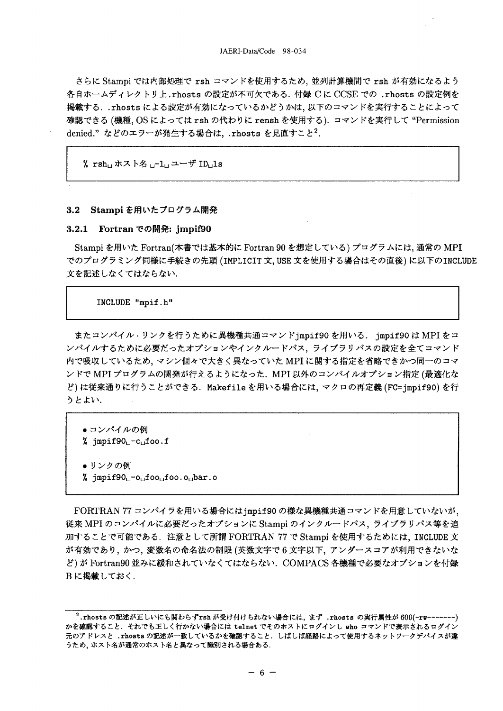さらに Stampi では内部処理で rsh コマンドを使用するため、並列計算機間で rsh が有効になるよう 各自ホームディレクトリ上.rhosts の設定が不可欠である. 付録 Cに CCSE での.rhosts の設定例を 掲載する. .rhosts による設定が有効になっているかどうかは、以下のコマンドを実行することによって 確認できる (機種, OS によっては rsh の代わりに remsh を使用する). コマンドを実行して "Permission denied." などのエラーが発生する場合は、.rhosts を見直すこと2.

% rsh」ホスト名 」-1」ユーザ ID」1s

### 3.2 Stampi を用いたプログラム開発

### 3.2.1 Fortran での開発: jmpif90

Stampi を用いた Fortran(本書では基本的に Fortran 90 を想定している) プログラムには、通常の MPI でのプログラミング同様に手続きの先頭 (IMPLICIT 文、USE 文を使用する場合はその直後) に以下のINCLUDE 文を記述しなくてはならない.

### INCLUDE "mpif.h"

またコンパイル·リンクを行うために異機種共通コマンドjmpif90を用いる. jmpif90は MPIをコ ンパイルするために必要だったオプションやインクルードパス、ライブラリパスの設定を全てコマンド 内で吸収しているため、マシン個々で大きく異なっていた MPI に関する指定を省略できかつ同一のコマ ンドで MPI プログラムの開発が行えるようになった. MPI 以外のコンパイルオプション指定 (最適化な ど)は従来通りに行うことができる. Makefile を用いる場合には、マクロの再定義 (FC=jmpif90)を行 うとよい.

● コンパイルの例 % jmpif90<sub>1</sub>-c<sub>1</sub>foo.f ●リンクの例 % jmpif90<sub>u</sub>-o<sub>u</sub>foo<sub>u</sub>foo.o<sub>u</sub>bar.o

FORTRAN 77 コンパイラを用いる場合には impif90 の様な異機種共通コマンドを用意していないが、 従来 MPI のコンパイルに必要だったオプションに Stampi のインクルードパス、ライブラリパス等を追 加することで可能である. 注意として所謂 FORTRAN 77 で Stampi を使用するためには、INCLUDE 文 が有効であり、かつ、変数名の命名法の制限 (英数文字で6文字以下、アンダースコアが利用できないな ど)が Fortran90 並みに緩和されていなくてはならない. COMPACS 各機種で必要なオプションを付録 Bに掲載しておく.

<sup>2.</sup> rhosts の記述が正しいにも関わらずrsh が受け付けられない場合には、まず .rhosts の実行属性が 600(-rw--------) かを確認すること. それでも正しく行かない場合には telnet でそのホストにログインし who コマンドで表示されるログイン 元のアドレスと .rhosts の記述が一致しているかを確認すること. しばしば経路によって使用するネットワークデバイスが違 うため、ホスト名が通常のホスト名と異なって識別される場合ある.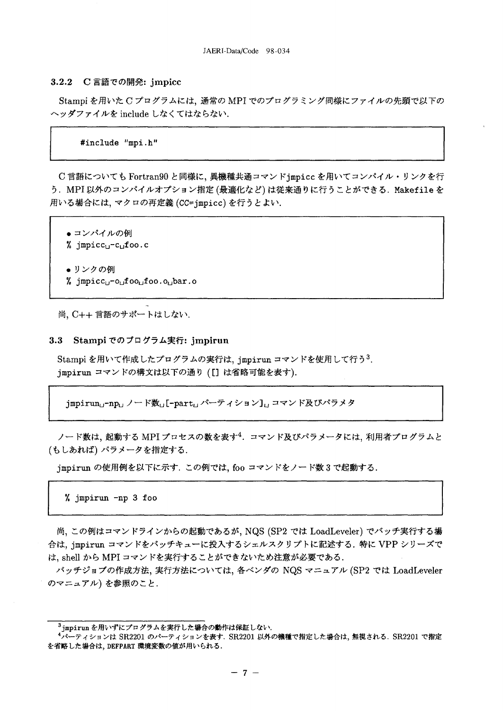### 3.2.2 C 言語での開発: jmpicc

Stampi を用いたCプログラムには、通常の MPI でのプログラミング同様にファイルの先頭で以下の ヘッダファイルを include しなくてはならない.

#include "mpi.h"

C 言語についても Fortran90 と同様に, 異機種共通コマンド jmpicc を用いてコンパイル・リンクを行 う. MPI 以外のコンパイルオプション指定(最適化など)は従来通りに行うことができる. Makefile を 用いる場合には、マクロの再定義 (CC=jmpicc) を行うとよい.

● コンパイルの例 % jmpicc<sub>u</sub>-c<sub>u</sub>foo.c ● リンクの例 % jmpicc<sub>u</sub>-o<sub>u</sub>foo<sub>u</sub>foo.o<sub>u</sub>bar.o

尚, C++ 言語のサポートはしない.

#### $3.3$ Stampi でのプログラム実行: jmpirun

Stampi を用いて作成したプログラムの実行は、jmpirun コマンドを使用して行う3. jmpirun コマンドの構文は以下の通り ([] は省略可能を表す).

jmpirun<sub>u</sub>-np<sub>u</sub> ノード数<sub>u</sub>[-part<sub>u</sub> パーティション]」コマンド及びパラメタ

ノード数は、起動する MPI プロセスの数を表す<sup>4</sup>. コマンド及びパラメータには、利用者プログラムと (もしあれば) パラメータを指定する.

jmpirun の使用例を以下に示す、この例では、foo コマンドをノード数3で起動する.

% jmpirun -np 3 foo

尚, この例はコマンドラインからの起動であるが, NQS (SP2 では LoadLeveler) でバッチ実行する場 合は、jmpirun コマンドをバッチキューに投入するシェルスクリプトに記述する. 特に VPP シリーズで は、shell から MPI コマンドを実行することができないため注意が必要である.

バッチジョブの作成方法、実行方法については、各ベンダの NQS マニュアル (SP2 では LoadLeveler のマニュアル)を参照のこと.

<sup>&</sup>lt;sup>3</sup>jmpirunを用いずにプログラムを実行した場合の動作は保証しない.

<sup>&</sup>lt;sup>4</sup>パーティションは SR2201 のパーティションを表す. SR2201 以外の機種で指定した場合は、無視される. SR2201 で指定 を省略した場合は、DEFPART 環境変数の値が用いられる.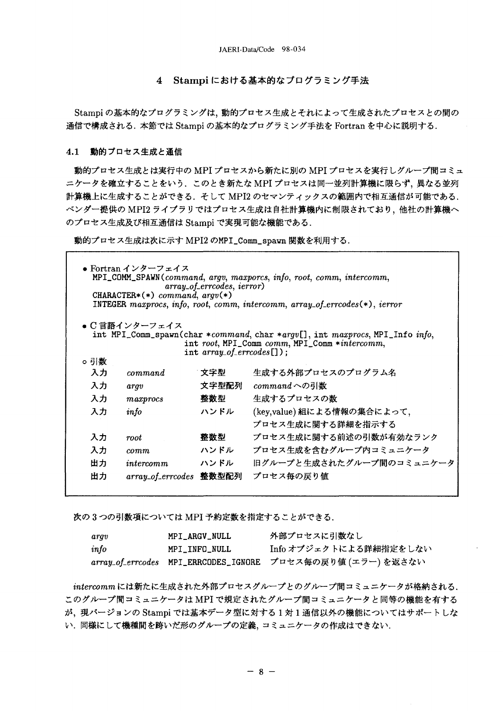### 4 Stampiにおける基本的なプログラミング手法

Stampi の基本的なプログラミングは、動的プロセス生成とそれによって生成されたプロセスとの間の 通信で構成される. 本節では Stampi の基本的なプログラミング手法を Fortran を中心に説明する.

### 4.1 動的プロセス生成と通信

動的プロセス生成とは実行中の MPI プロセスから新たに別の MPI プロセスを実行しグループ間コミュ ニケータを確立することをいう、このとき新たな MPI プロセスは同一並列計算機に限らず、異なる並列 計算機上に生成することができる. そして MPI2 のセマンティックスの範囲内で相互通信が可能である. ベンダー提供の MPI2 ライブラリではプロセス生成は自社計算機内に制限されており、他社の計算機へ のプロセス生成及び相互通信は Stampi で実現可能な機能である.

動的プロセス生成は次に示す MPI2 のMPI\_Comm\_spawn 関数を利用する.

| o引数 | ● Fortran インターフェイス<br>CHARACTER*(*) command, $argv(*)$<br>● C 言語インターフェイス | array_of_errcodes, ierror)<br>int $array\_of\_ercodes[]$ ; | MPI_COMM_SPAWN(command, argv, maxporcs, info, root, comm, intercomm,<br>INTEGER maxprocs, info, root, comm, intercomm, array_of_errcodes(*), ierror<br>int MPI_Comm_spawn(char *command, char *argv[], int maxprocs, MPI_Info info,<br>int root, MPI_Comm comm, MPI_Comm *intercomm, |
|-----|--------------------------------------------------------------------------|------------------------------------------------------------|--------------------------------------------------------------------------------------------------------------------------------------------------------------------------------------------------------------------------------------------------------------------------------------|
| 入力  | command                                                                  | 文字型                                                        | 生成する外部プロセスのプログラム名                                                                                                                                                                                                                                                                    |
|     |                                                                          |                                                            |                                                                                                                                                                                                                                                                                      |
| 入力  | argv                                                                     | 文字型配列                                                      | $command\sim\circ\mathcal{M}(1)$                                                                                                                                                                                                                                                     |
| 入力  | maxprocess                                                               | 整数型                                                        | 生成するプロセスの数                                                                                                                                                                                                                                                                           |
| 入力  | info                                                                     | ハンドル                                                       | (key,value) 組による情報の集合によって,                                                                                                                                                                                                                                                           |
|     |                                                                          |                                                            | プロセス生成に関する詳細を指示する                                                                                                                                                                                                                                                                    |
| 入力  | root                                                                     | 整数型                                                        | プロセス生成に関する前述の引数が有効なランク                                                                                                                                                                                                                                                               |
| 入力  | comm.                                                                    | ハンドル                                                       | プロセス生成を含むグループ内コミュニケータ                                                                                                                                                                                                                                                                |
| 出力  | intercomm                                                                | ハンドル                                                       | 旧グループと生成されたグループ間のコミュニケータ                                                                                                                                                                                                                                                             |
| 出力  | array_of_errcodes 整数型配列                                                  |                                                            | プロセス毎の戻り値                                                                                                                                                                                                                                                                            |
|     |                                                                          |                                                            |                                                                                                                                                                                                                                                                                      |

次の3つの引数項については MPI 予約定数を指定することができる.

| argv | MPI_ARGV_NULL | 外部プロセスに引数なし                                               |
|------|---------------|-----------------------------------------------------------|
| info | MPI INFO NULL | Info オブジェクトによる詳細指定をしない                                    |
|      |               | array_of_errcodes MPI_ERRCODES_IGNORE プロセス毎の戻り値(エラー)を返さない |

intercommには新たに生成された外部プロセスグループとのグループ間コミュニケータが格納される. このグループ間コミュニケータは MPI で規定されたグループ間コミュニケータと同等の機能を有する が、現バージョンの Stampi では基本データ型に対する1対1通信以外の機能についてはサポートしな い. 同様にして機種間を跨いだ形のグループの定義、コミュニケータの作成はできない.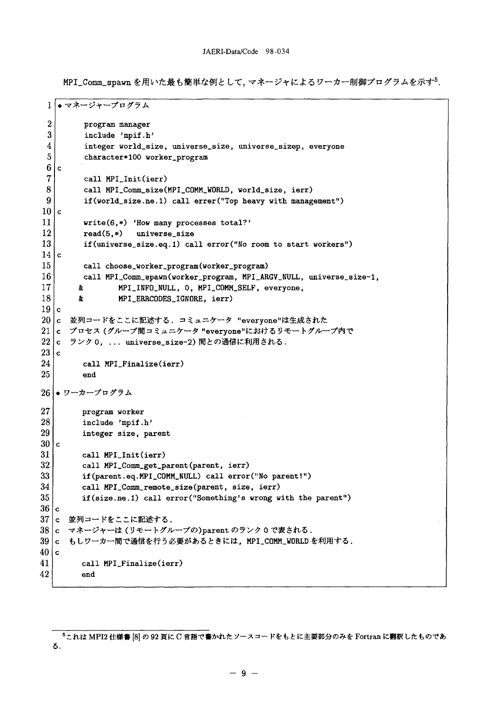MPI\_Comm\_spawn を用いた最も簡単な例として、マネージャによるワーカー制御プログラムを示す5.

```
1 . マネージャープログラム
 \overline{2}program manager
 3
          include 'mpif.h'
 \overline{4}integer world_size, universe_size, universe_sizep, everyone
 \overline{5}character*100 worker_program
 6\phantom{1}\mathbf{c}\overline{7}call MPI_Init(ierr)
 8
          call MPI_Comm_size(MPI_COMM_WORLD, world_size, ierr)
 \mathbf{Q}if(world_size.ne.1) call errer("Top heavy with management")
10<sub>c</sub>11
         write(6, *) 'How many processes total?'
12
         read(5, *)universe_size
13
         if(universe_size.eq.1) call error("No room to start workers")
14c15
         call choose_worker_program(worker_program)
16
         call MPI_Comm_spawn(worker_program, MPI_ARGV_NULL, universe_size-1,
17
                  MPI_INFO_NULL, O, MPI_COMM_SELF, everyone,
        \boldsymbol{k}18
        \pmb{\hat{x}}MPI_ERRCODES_IGNORE, ierr)
19<sub>c</sub>20 c 並列コードをここに記述する. コミュニケータ "everyone"は生成された
21 c プロセス (グループ間コミュニケータ "everyone"におけるリモートグループ内で
22 c ランク 0, ... universe_size-2) 間との通信に利用される.
23c24<sup>1</sup>call MPI_Finalize(ierr)
25
         end
26 ● ワーカープログラム
27
         program worker
28
         include 'mpif.h'
29
         integer size, parent
30 \, \mathrm{c}31
         call MPI_Init(ierr)
32
         call MPI_Comm_get_parent(parent, ierr)
33
         if(parent.eq.MPI_COMM_NULL) call error("No parent!")
34
         call MPI_Comm_remote_size(parent, size, ierr)
35
         if(size.ne.1) call error("Something's wrong with the parent")
36|c|37 c 並列コードをここに記述する.
38 |c|マネージャーは (リモートグループの)parent のランク0で表される.
39 |c もしワーカー間で通信を行う必要があるときには、MPI_COMM_WORLDを利用する.
40 c41
         call MPI_Finalize(ierr)
42
         end
```
<sup>5</sup>これは MPI2 仕様書 [8] の 92 頁に C 言語で書かれたソースコードをもとに主要部分のみを Fortran に翻訳したものであ る.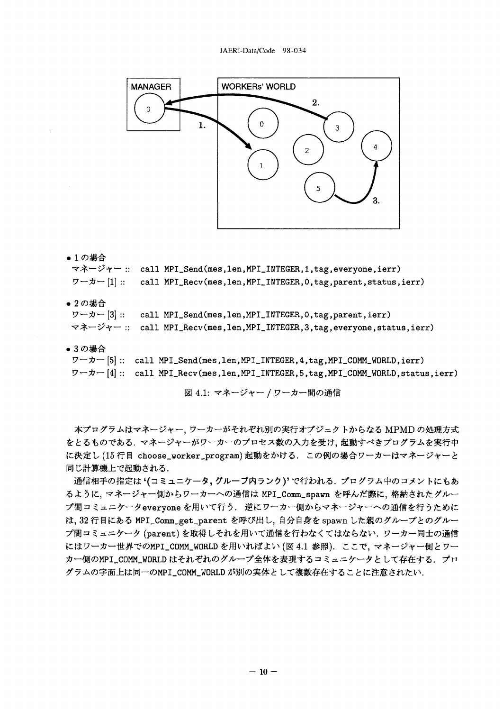

●1の場合

マネージャー :: call MPI\_Send(mes,len,MPI\_INTEGER,1,tag,everyone,ierr)

- ワーカー [1] :: call MPI\_Recv(mes,len,MPI\_INTEGER, 0, tag, parent, status, ierr)
- 2の場合

| $\nabla \neg \pi \neg \pi$ [3] :: call MPI_Send(mes,len,MPI_INTEGER, 0, tag, parent, ierr) |
|--------------------------------------------------------------------------------------------|
| マネージャー :: call MPI_Recv(mes,len,MPI_INTEGER,3,tag,everyone,status,ierr)                    |

● 3の場合

ワーカー [5] :: call MPI\_Send(mes,len,MPI\_INTEGER, 4, tag, MPI\_COMM\_WORLD, ierr) ワーカー [4] :: call MPI\_Recv(mes,len,MPI\_INTEGER,5,tag,MPI\_COMM\_WORLD,status,ierr)

図 4.1: マネージャー / ワーカー間の通信

本プログラムはマネージャー、ワーカーがそれぞれ別の実行オブジェクトからなる MPMD の処理方式 をとるものである. マネージャーがワーカーのプロセス数の入力を受け、起動すべきプログラムを実行中 に決定し(15行目 choose\_worker\_program)起動をかける. この例の場合ワーカーはマネージャーと 同じ計算機上で起動される.

通信相手の指定は (コミュニケータ, グループ内ランク)' で行われる. プログラム中のコメントにもあ るように、マネージャー側からワーカーへの通信は MPI\_Comm\_spawn を呼んだ際に、格納されたグルー プ間コミュニケータevervone を用いて行う、逆にワーカー側からマネージャーへの通信を行うために は、32 行目にある MPI\_Comm\_get\_parent を呼び出し、自分自身を spawn した親のグループとのグルー プ間コミュニケータ (parent)を取得しそれを用いて通信を行わなくてはならない。ワーカー同士の通信 にはワーカー世界でのMPI\_COMM\_WORLD を用いればよい (図 4.1 参照). ここで、マネージャー側とワー カー側のMPI\_COMM\_WORLD はそれぞれのグループ全体を表現するコミュニケータとして存在する. プロ グラムの字面上は同一のMPI\_COMM\_WORLD が別の実体として複数存在することに注意されたい.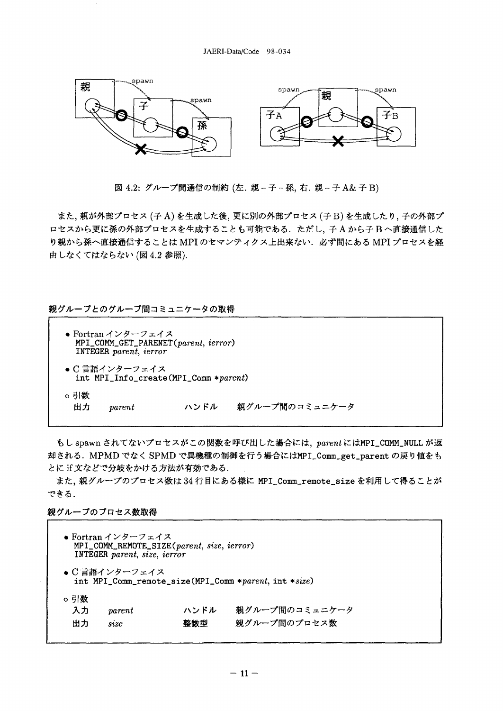

図 4.2: グループ間通信の制約 (左. 親-子-孫,右. 親-子 A&子B)

また、親が外部プロセス (子A)を生成した後、更に別の外部プロセス (子B)を生成したり、子の外部プ ロセスから更に孫の外部プロセスを生成することも可能である。ただし、子Aから子Bへ直接通信した り親から孫へ直接通信することは MPI のセマンティクス上出来ない. 必ず間にある MPI プロセスを経 由しなくてはならない (図 4.2 参照).

親グループとのグループ間コミュニケータの取得

|           | ● Fortran インターフェイス<br>MPI_COMM_GET_PARENET(parent, ierror)<br>INTEGER parent, ierror |      |                         |  |
|-----------|--------------------------------------------------------------------------------------|------|-------------------------|--|
|           | ● C 言語インターフェイス<br>int MPI_Info_create(MPI_Comm *parent)                              |      |                         |  |
| o引数<br>出力 | $\emph{parent}$                                                                      | ハンドル | <b>- 親グループ間のコミュニケータ</b> |  |

もし spawn されてないプロセスがこの関数を呼び出した場合には、parentにはMPI\_COMM\_NULL が返 却される. MPMD でなく SPMD で異機種の制御を行う場合にはMPI\_Comm\_get\_parent の戻り値をも とに if 文などで分岐をかける方法が有効である.

また、親グループのプロセス数は34行目にある様に MPI\_Comm\_remote\_size を利用して得ることが できる.

親グループのプロセス数取得

|                 | ● Fortran インターフェイス<br>MPI_COMM_REMOTE_SIZE(parent, size, ierror)<br>INTEGER parent, size, ierror |             |                                |
|-----------------|--------------------------------------------------------------------------------------------------|-------------|--------------------------------|
|                 | ● C 言語インターフェイス<br>int MPI_Comm_remote_size(MPI_Comm *parent, int *size)                          |             |                                |
| o引数<br>入力<br>出力 | $\it parent$<br>size                                                                             | ハンドル<br>整数型 | 親グループ間のコミュニケータ<br>親グループ間のプロセス数 |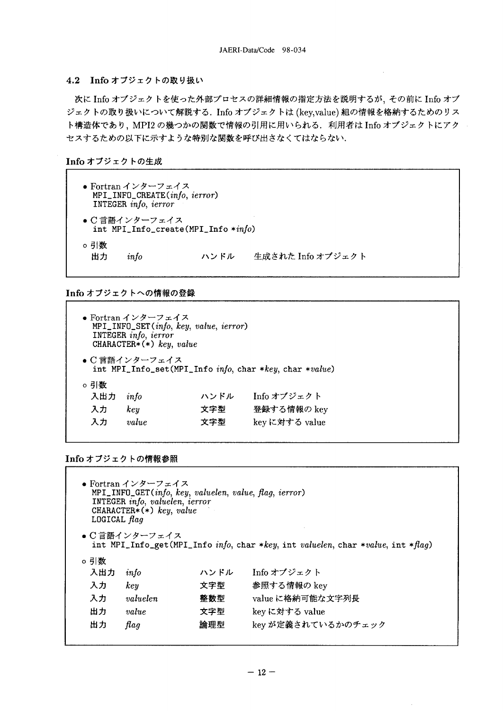### 4.2 Info オブジェクトの取り扱い

次に Info オブジェクトを使った外部プロセスの詳細情報の指定方法を説明するが、その前に Info オブ ジェクトの取り扱いについて解説する. Info オブジェクトは (key,value) 組の情報を格納するためのリス ト構造体であり、MPI2の幾つかの関数で情報の引用に用いられる. 利用者は Info オブジェクトにアク セスするための以下に示すような特別な関数を呼び出さなくてはならない.

Info オブジェクトの生成

| ● Fortran インターフェイス<br>MPI_INFO_CREATE(info, ierror)<br>INTEGER info, ierror |                |                                     |                   |
|-----------------------------------------------------------------------------|----------------|-------------------------------------|-------------------|
|                                                                             | ● C 言語インターフェイス | int MPI_Info_create(MPI_Info *info) |                   |
| o引数<br>ᄈ                                                                    | info           | ハンドル                                | 生成された Info オブジェクト |

## Info オブジェクトへの情報の登録

| ● Fortran インターフェイス<br>$MPI$ <sub>-</sub> INFO <sub>-</sub> SET( <i>info</i> , key, value, <i>ierror</i> )<br>INTEGER info, ierror<br>CHARACTER* $(*)$ key, value |                      |                    |                                                         |  |
|------------------------------------------------------------------------------------------------------------------------------------------------------------------|----------------------|--------------------|---------------------------------------------------------|--|
|                                                                                                                                                                  | ● C 言語インターフェイス       |                    | int MPI_Info_set(MPI_Info info, char *key, char *value) |  |
| ○ 引数<br>入出力<br>入力<br>入力                                                                                                                                          | info<br>key<br>value | ハンドル<br>文字型<br>文字型 | Info オブジェクト<br>登録する情報の key<br>keyに対する value             |  |

Info オブジェクトの情報参照

| ● Fortran インターフェイス<br>MPI_INFO_GET(info, key, valuelen, value, flag, ierror)<br>INTEGER info, valuelen, ierror<br>CHARACTER* $(*)$ key, value<br>LOGICAL $Haq$ |                |      |                                                                                  |
|----------------------------------------------------------------------------------------------------------------------------------------------------------------|----------------|------|----------------------------------------------------------------------------------|
|                                                                                                                                                                | ● C 言語インターフェイス |      | int MPI_Info_get(MPI_Info info, char *key, int valuelen, char *value, int *flag) |
| o引数                                                                                                                                                            |                |      |                                                                                  |
| 入出力                                                                                                                                                            | info           | ハンドル | - Info オブジェクト                                                                    |
| 入力                                                                                                                                                             | key            | 文字型  | 参照する情報の key                                                                      |
| 入力                                                                                                                                                             | valuelen       | 整数型  | value に格納可能な文字列長                                                                 |
| 出力                                                                                                                                                             | value          | 文字型  | key に対する value                                                                   |
| 出力                                                                                                                                                             | flag           | 論理型  | key が定義されているかのチェック                                                               |
|                                                                                                                                                                |                |      |                                                                                  |

 $\sim$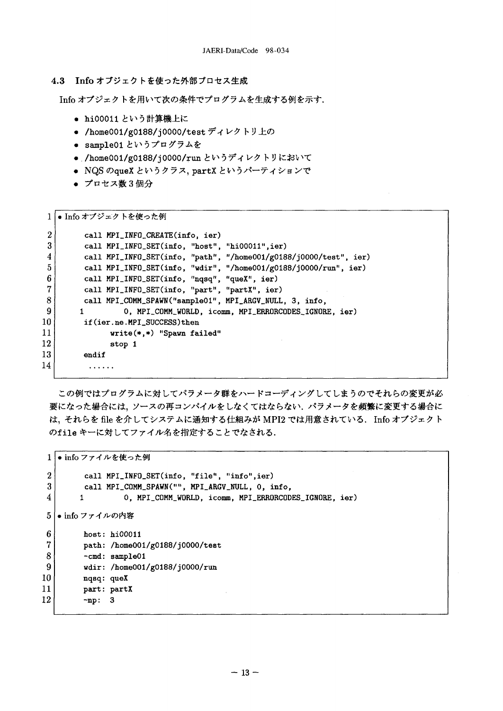### 4.3 Info オブジェクトを使った外部プロセス生成

Info オブジェクトを用いて次の条件でプログラムを生成する例を示す.

- hi00011 という計算機上に
- /home001/g0188/j0000/test ディレクトリ上の
- sample01というプログラムを
- /home001/g0188/j0000/run というディレクトリにおいて
- NQS のqueX というクラス, partX というパーティションで
- プロセス数3個分

|                | ● Info オブジェクトを使った例                                                |
|----------------|-------------------------------------------------------------------|
| $\overline{2}$ | call MPI_INFO_CREATE(info, ier)                                   |
| 3              | call MPI_INFO_SET(info, "host", "hi00011",ier)                    |
| 4              | call MPI_INFO_SET(info, "path", "/home001/g0188/j0000/test", ier) |
| 5              | call MPI_INFO_SET(info, "wdir", "/home001/g0188/j0000/run", ier)  |
| 6              | call MPI_INFO_SET(info, "nqsq", "queX", ier)                      |
| $\overline{7}$ | call MPI_INFO_SET(info, "part", "partX", ier)                     |
| 8              | call MPI_COMM_SPAWN("sample01", MPI_ARGV_NULL, 3, info,           |
| 9              | 0, MPI_COMM_WORLD, icomm, MPI_ERRORCODES_IGNORE, ier)             |
| 10             | if(ier.ne.MPI_SUCCESS)then                                        |
| 11             | $write(*, *)$ "Spawn failed"                                      |
| 12             | stop 1                                                            |
| 13.            | endif                                                             |
| 14             |                                                                   |
|                |                                                                   |

この例ではプログラムに対してパラメータ群をハードコーディングしてしまうのでそれらの変更が必 要になった場合には、ソースの再コンパイルをしなくてはならない、パラメータを頻繁に変更する場合に は、それらを file を介してシステムに通知する仕組みが MPI2 では用意されている. Info オブジェクト のfile キーに対してファイル名を指定することでなされる.

1 |● info ファイルを使った例  $\overline{2}$ call MPI\_INFO\_SET(info, "file", "info",ier)  $\mathbf{3}$ call MPI\_COMM\_SPAWN("", MPI\_ARGV\_NULL, 0, info,  $\overline{\mathbf{4}}$ 0, MPI\_COMM\_WORLD, icomm, MPI\_ERRORCODES\_IGNORE, ier)  $\mathbf{1}$ 5 ● info ファイルの内容 6  $host: hi00011$  $\overline{7}$ path: /home001/g0188/j0000/test 8 -cmd: sample01  $\overline{9}$ wdir: /home001/g0188/j0000/run 10 nqsq: queX 11 part: partX 12  $-np: 3$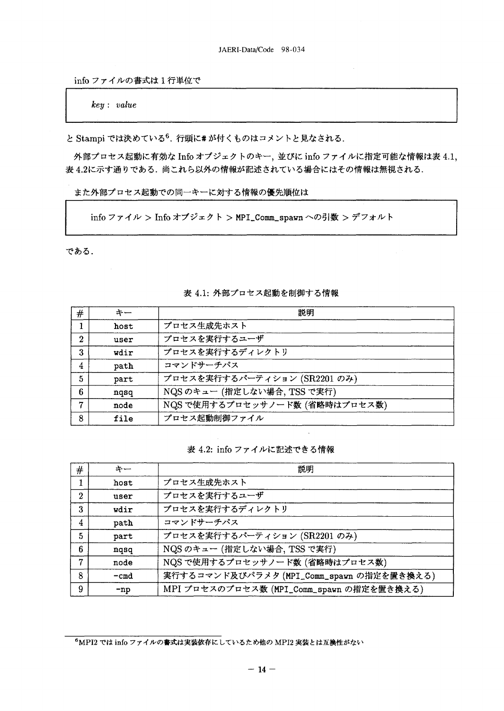infoファイルの書式は1行単位で

 $key: value$ 

と Stampi では決めている<sup>6</sup>. 行頭に# が付くものはコメントと見なされる.

外部プロセス起動に有効な Info オブジェクトのキー,並びに info ファイルに指定可能な情報は表 4.1, 表4.2に示す通りである。尚これら以外の情報が記述されている場合にはその情報は無視される。

また外部プロセス起動での同一キーに対する情報の優先順位は

infoファイル > Info オブジェクト > MPI\_Comm\_spawn への引数 > デフォルト

である.

| #            | キー   | 説明                             |
|--------------|------|--------------------------------|
| 1            | host | プロセス生成先ホスト                     |
| $\mathbf{2}$ | user | プロセスを実行するユーザ                   |
| 3            | wdir | プロセスを実行するディレクトリ                |
| 4            | path | コマンドサーチパス                      |
| 5            | part | プロセスを実行するパーティション (SR2201 のみ)   |
| 6            | nqsq | NQS のキュー (指定しない場合, TSS で実行)    |
| 7            | node | NQS で使用するプロセッサノード数 (省略時はプロセス数) |
| 8            | file | プロセス起動制御ファイル                   |

## 表 4.1: 外部プロセス起動を制御する情報

表 4.2: info ファイルに記述できる情報

| #              | キー     | 説明                                        |
|----------------|--------|-------------------------------------------|
|                | host   | プロセス生成先ホスト                                |
| $\overline{2}$ | user   | プロセスを実行するユーザ                              |
| 3              | wdir   | プロセスを実行するディレクトリ                           |
| 4              | path   | コマンドサーチパス                                 |
| 5              | part   | プロセスを実行するパーティション (SR2201 のみ)              |
| 6              | ngsg   | NQS のキュー (指定しない場合, TSS で実行)               |
| 7              | node   | NQS で使用するプロセッサノード数 (省略時はプロセス数)            |
| 8              | $-cmd$ | 実行するコマンド及びパラメタ (MPI_Comm_spawn の指定を置き換える) |
| 9              | $-np$  | MPI プロセスのプロセス数 (MPI_Comm_spawn の指定を置き換える) |

<sup>6</sup>MPI2 では info ファイルの書式は実装依存にしているため他の MPI2 実装とは互換性がない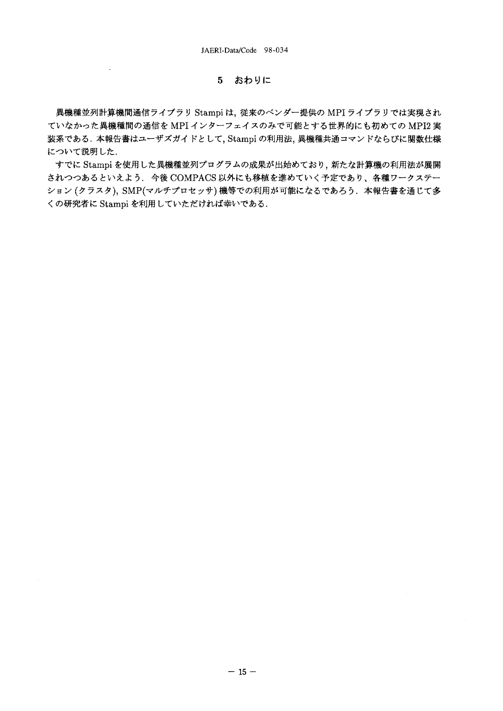#### おわりに  $5<sup>1</sup>$

 $\sim 10^{-11}$ 

異機種並列計算機間通信ライブラリ Stampi は、従来のベンダー提供の MPI ライブラリでは実現され ていなかった異機種間の通信を MPI インターフェイスのみで可能とする世界的にも初めての MPI2 実 装系である.本報告書はユーザズガイドとして、Stampi の利用法、異機種共通コマンドならびに関数仕様 について説明した.

すでに Stampi を使用した異機種並列プログラムの成果が出始めており、新たな計算機の利用法が展開 されつつあるといえよう. 今後 COMPACS 以外にも移植を進めていく予定であり、各種ワークステー ション (クラスタ), SMP(マルチプロセッサ) 機等での利用が可能になるであろう. 本報告書を通じて多 くの研究者に Stampi を利用していただければ幸いである.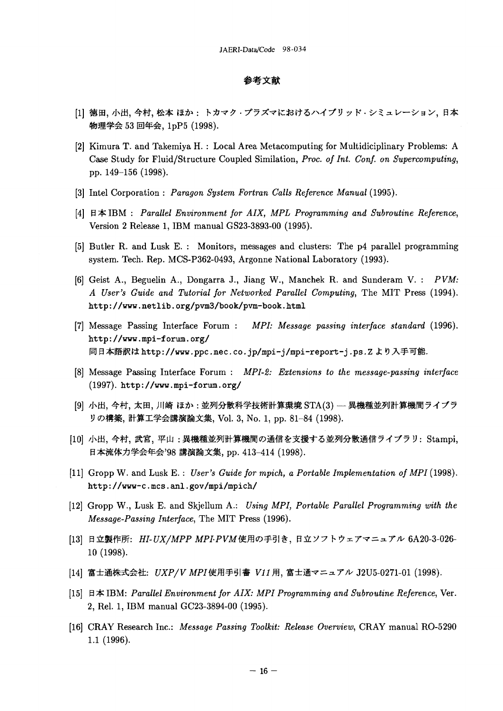## 参考文献

- [1] 徳田、小出、今村、松本 ほか : トカマク・プラズマにおけるハイブリッド・シミュレーション、日本 物理学会 53 回年会, 1pP5 (1998).
- [2] Kimura T. and Takemiya H. : Local Area Metacomputing for Multidiciplinary Problems: A Case Study for Fluid/Structure Coupled Similation, Proc. of Int. Conf. on Supercomputing, pp. 149-156 (1998).
- [3] Intel Corporation: Paragon System Fortran Calls Reference Manual (1995).
- [4] 日本 IBM : Parallel Environment for AIX, MPL Programming and Subroutine Reference, Version 2 Release 1, IBM manual GS23-3893-00 (1995).
- [5] Butler R. and Lusk E.: Monitors, messages and clusters: The p4 parallel programming system. Tech. Rep. MCS-P362-0493, Argonne National Laboratory (1993).
- [6] Geist A., Beguelin A., Dongarra J., Jiang W., Manchek R. and Sunderam V. : PVM: A User's Guide and Tutorial for Networked Parallel Computing, The MIT Press (1994). http://www.netlib.org/pvm3/book/pvm-book.html
- [7] Message Passing Interface Forum : MPI: Message passing interface standard (1996). http://www.mpi-forum.org/ 同日本語訳は http://www.ppc.nec.co.jp/mpi-j/mpi-report-j.ps.Z より入手可能.
- [8] Message Passing Interface Forum : MPI-2: Extensions to the message-passing interface (1997). http://www.mpi-forum.org/
- [9] 小出, 今村, 太田, 川崎 ほか: 並列分散科学技術計算環境 STA(3) 異機種並列計算機間ライブラ リの構築, 計算工学会講演論文集, Vol. 3, No. 1, pp. 81-84 (1998).
- [10] 小出, 今村, 武宮, 平山:異機種並列計算機間の通信を支援する並列分散通信ライブラリ: Stampi, 日本流体力学会年会'98 講演論文集, pp. 413-414 (1998).
- [11] Gropp W. and Lusk E.: User's Guide for mpich, a Portable Implementation of MPI (1998). http://www-c.mcs.anl.gov/mpi/mpich/
- [12] Gropp W., Lusk E. and Skjellum A.: Using MPI, Portable Parallel Programming with the Message-Passing Interface, The MIT Press (1996).
- [13] 日立製作所: HI-UX/MPP MPI-PVM使用の手引き、日立ソフトウェアマニュアル 6A20-3-026-10 (1998).
- [14] 富士通株式会社: UXP/V MPI使用手引書 V11用, 富士通マニュアル J2U5-0271-01 (1998).
- [15] 日本 IBM: Parallel Environment for AIX: MPI Programming and Subroutine Reference, Ver. 2, Rel. 1, IBM manual GC23-3894-00 (1995).
- [16] CRAY Research Inc.: Message Passing Toolkit: Release Overview, CRAY manual RO-5290  $1.1(1996).$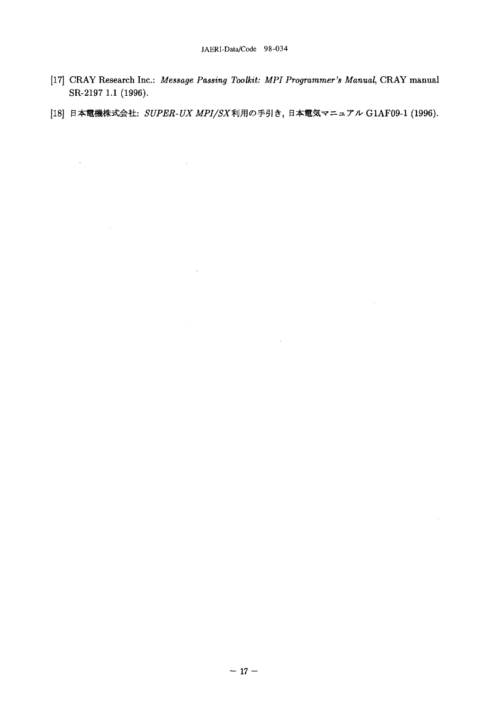- [17] CRAY Research Inc.: Message Passing Toolkit: MPI Programmer's Manual, CRAY manual SR-2197 1.1 (1996).
- [18] 日本電機株式会社: SUPER-UX MPI/SX利用の手引き、日本電気マニュアル G1AF09-1 (1996).

 $\hat{\mathcal{A}}$ 

 $\sim 10^7$ 

 $\overline{\phantom{a}}$ 

 $\sim$ 

 $\mathcal{A}^{\pm}$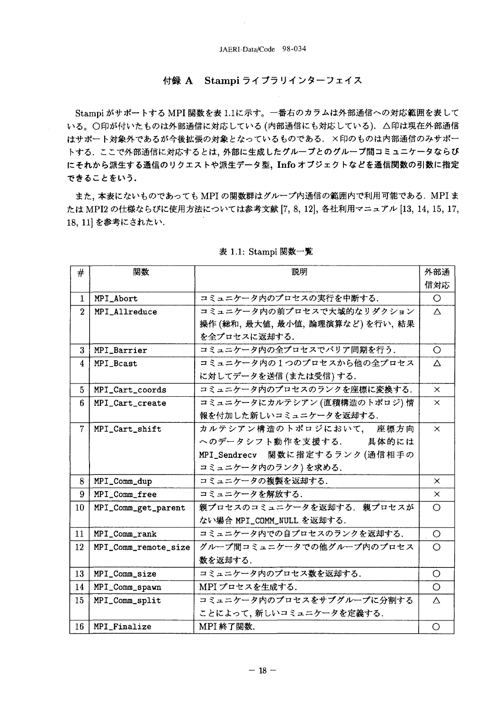# 付録 A Stampi ライブラリインターフェイス

Stampi がサポートする MPI 関数を表1.1に示す。一番右のカラムは外部通信への対応範囲を表して いる。○印が付いたものは外部通信に対応している(内部通信にも対応している). △印は現在外部通信 はサポート対象外であるが今後拡張の対象となっているものである. ×印のものは内部通信のみサポー トする. ここで外部通信に対応するとは、外部に生成したグループとのグループ間コミュニケータならび にそれから派生する通信のリクエストや派生データ型, Info オブジェクトなどを通信関数の引数に指定 できることをいう.

また、本表にないものであっても MPI の関数群はグループ内通信の範囲内で利用可能である. MPI ま たは MPI2 の仕様ならびに使用方法については参考文献 [7, 8, 12], 各社利用マニュアル [13, 14, 15, 17, 18, 11 を参考にされたい.

| #               | 関数                   | 説明                              | 外部通      |
|-----------------|----------------------|---------------------------------|----------|
|                 |                      |                                 | 信対応      |
| $\mathbf{1}$    | MPI_Abort            | コミュニケータ内のプロセスの実行を中断する.          | $\circ$  |
| $\overline{2}$  | MPI_Allreduce        | コミュニケータ内の前プロセスで大域的なリダクション       | $\Delta$ |
|                 |                      | 操作(総和, 最大値, 最小値, 論理演算など)を行い, 結果 |          |
|                 |                      | を全プロセスに返却する.                    |          |
| 3               | <b>MPI_Barrier</b>   | コミュニケータ内の全プロセスでバリア同期を行う.        | $\circ$  |
| $\overline{4}$  | MPI_Bcast            | コミュニケータ内の1つのプロセスから他の全プロセス       | Δ        |
|                 |                      | に対してデータを送信 (または受信)する.           |          |
| $5\overline{)}$ | MPI_Cart_coords      | コミュニケータ内のプロセスのランクを座標に変換する.      | $\times$ |
| 6               | MPI_Cart_create      | コミュニケータにカルテシアン (直積構造のトポロジ)情     | $\times$ |
|                 |                      | 報を付加した新しいコミュニケータを返却する.          |          |
| $\overline{7}$  | MPI_Cart_shift       | カルテシアン構造のトポロジにおいて、 座標方向         | $\times$ |
|                 |                      | へのデータシフト動作を支援する. 具体的には          |          |
|                 |                      | MPI_Sendrecv 関数に指定するランク(通信相手の   |          |
|                 |                      | コミュニケータ内のランク)を求める.              |          |
| 8               | MPI_Comm_dup         | コミュニケータの複製を返却する.                | $\times$ |
| 9               | MPI_Comm_free        | コミュニケータを解放する.                   | $\times$ |
| 10              | MPI_Comm_get_parent  | 親プロセスのコミュニケータを返却する。親プロセスが       | $\circ$  |
|                 |                      | ない場合 MPI_COMM_NULL を返却する.       |          |
| 11              | MPI_Comm_rank        | コミュニケータ内での自プロセスのランクを返却する.       | $\circ$  |
| 12              | MPI_Comm_remote_size | グループ間コミュニケータでの他グループ内のプロセス       | $\circ$  |
|                 |                      | 数を返却する.                         |          |
| 13              | MPI_Comm_size        | コミュニケータ内のプロセス数を返却する.            | $\circ$  |
| 14              | MPI_Comm_spawn       | MPI プロセスを生成する.                  | $\circ$  |
| 15              | MPI_Comm_split       | コミュニケータ内のプロセスをサブグループに分割する       | $\wedge$ |
|                 |                      | ことによって、新しいコミュニケータを定義する.         |          |
| 16              | MPI_Finalize         | MPI 終了関数.                       | O        |

### 表 1.1: Stampi 関数一覧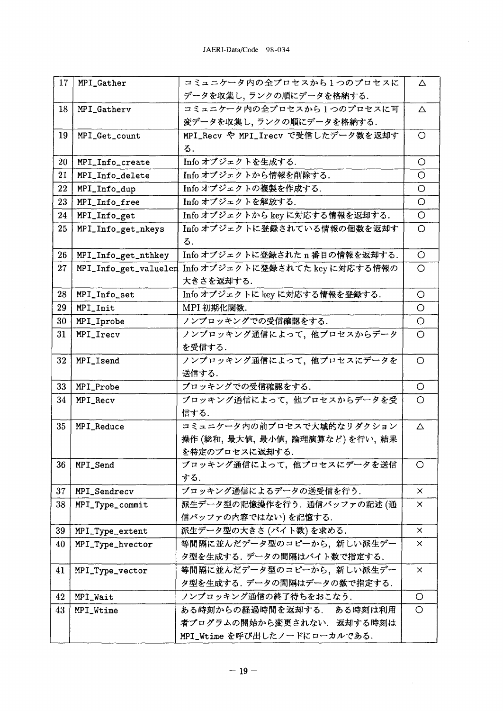| 17 | MPI_Gather            | コミュニケータ内の全プロセスから1つのプロセスに           | Δ          |
|----|-----------------------|------------------------------------|------------|
|    |                       | データを収集し、ランクの順にデータを格納する.            |            |
| 18 | MPI_Gatherv           | コミュニケータ内の全プロセスから1つのプロセスに可          | Δ          |
|    |                       | 変データを収集し、ランクの順にデータを格納する.           |            |
| 19 | MPI_Get_count         | MPI_Recv や MPI_Irecv で受信したデータ数を返却す | O          |
|    |                       | る.                                 |            |
| 20 | MPI_Info_create       | Info オブジェクトを生成する.                  | O          |
| 21 | MPI_Info_delete       | Info オブジェクトから情報を削除する.              | O          |
| 22 | MPI_Info_dup          | Info オブジェクトの複製を作成する.               | O          |
| 23 | MPI_Info_free         | Info オブジェクトを解放する.                  | $\circ$    |
| 24 | MPI_Info_get          | Info オブジェクトから key に対応する情報を返却する.    | $\circ$    |
| 25 | MPI_Info_get_nkeys    | Info オブジェクトに登録されている情報の個数を返却す       | O          |
|    |                       | る.                                 |            |
| 26 | MPI_Info_get_nthkey   | Info オブジェクトに登録された n番目の情報を返却する.     | $\circ$    |
| 27 | MPI_Info_get_valuelen | Info オブジェクトに登録されてた key に対応する情報の    | $\circ$    |
|    |                       | 大きさを返却する.                          |            |
| 28 | MPI_Info_set          | Info オブジェクトに key に対応する情報を登録する.     | $\circ$    |
| 29 | MPI_Init              | MPI 初期化関数.                         | O          |
| 30 | MPI_Iprobe            | ノンブロッキングでの受信確認をする.                 | $\circ$    |
| 31 | MPI_Irecv             | ノンブロッキング通信によって、他プロセスからデータ          | $\circ$    |
|    |                       | を受信する.                             |            |
| 32 | MPI_Isend             | ノンブロッキング通信によって、他プロセスにデータを          | $\circ$    |
|    |                       | 送信する.                              |            |
| 33 | MPI_Probe             | ブロッキングでの受信確認をする.                   | $\circ$    |
| 34 | MPI_Recv              | ブロッキング通信によって、他プロセスからデータを受          | $\circ$    |
|    |                       | 信する.                               |            |
| 35 | MPI_Reduce            | コミュニケータ内の前プロセスで大域的なリダクション          | Δ          |
|    |                       | 操作 (総和, 最大値, 最小値, 論理演算など)を行い, 結果   |            |
|    |                       | を特定のプロセスに返却する.                     |            |
| 36 | MPI_Send              | ブロッキング通信によって、他プロセスにデータを送信          | $\circ$    |
|    |                       | する.                                |            |
| 37 | MPI_Sendrecv          | ブロッキング通信によるデータの送受信を行う.             | $\times$   |
| 38 | MPI_Type_commit       | 派生データ型の記憶操作を行う. 通信バッファの記述(通        | $\times$   |
|    |                       | 信バッファの内容ではない)を記憶する.                |            |
| 39 | MPI_Type_extent       | 派生データ型の大きさ (バイト数)を求める.             | $\times$   |
| 40 | MPI_Type_hvector      | 等間隔に並んだデータ型のコピーから、新しい派生デー          | $\times$   |
|    |                       | タ型を生成する. データの間隔はバイト数で指定する.         |            |
| 41 | MPI_Type_vector       | 等間隔に並んだデータ型のコピーから、新しい派生デー          | $\times$   |
|    |                       | タ型を生成する. データの間隔はデータの数で指定する.        |            |
| 42 | MPI_Wait              | ノンブロッキング通信の終了待ちをおこなう.              | O          |
| 43 | MPI_Wtime             | ある時刻からの経過時間を返却する. ある時刻は利用          | $\bigcirc$ |
|    |                       | 者プログラムの開始から変更されない、返却する時刻は          |            |
|    |                       | MPI_Wtime を呼び出したノードにローカルである.       |            |
|    |                       |                                    |            |

 $\hat{L}$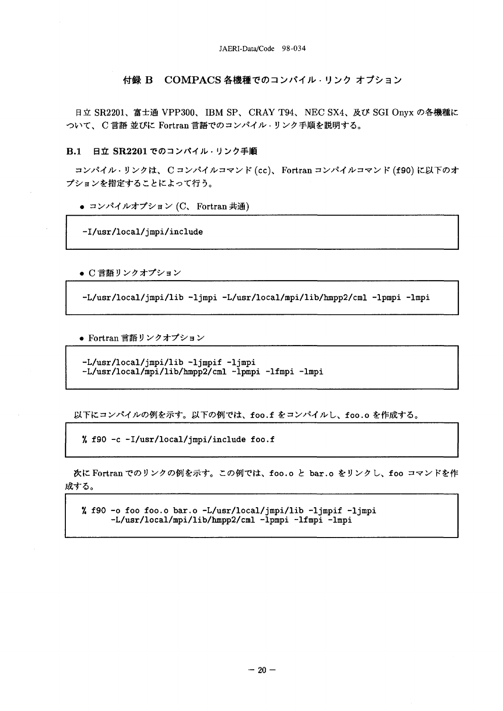JAERI-Data/Code 98-034

### 付録 B COMPACS 各機種でのコンパイル・リンク オプション

日立 SR2201、富士通 VPP300、IBM SP、CRAY T94、NEC SX4、及び SGI Onyx の各機種に ついて、C言語並びに Fortran言語でのコンパイル·リンク手順を説明する。

日立 SR2201 でのコンパイル·リンク手順  $B.1$ 

コンパイル·リンクは、Cコンパイルコマンド (cc)、Fortran コンパイルコマンド (f90) に以下のオ プションを指定することによって行う。

● コンパイルオプション (C、Fortran 共通)

-I/usr/local/jmpi/include

● C 言語リンクオプション

-L/usr/local/jmpi/lib -ljmpi -L/usr/local/mpi/lib/hmpp2/cml -lpmpi -lmpi

● Fortran 言語リンクオプション

-L/usr/local/jmpi/lib -ljmpif -ljmpi -L/usr/local/mpi/lib/hmpp2/cml -lpmpi -lfmpi -lmpi

以下にコンパイルの例を示す。以下の例では、foo.f をコンパイルし、foo.o を作成する。

% f90 -c -I/usr/local/jmpi/include foo.f

次に Fortran でのリンクの例を示す。この例では、foo.o と bar.o をリンクし、foo コマンドを作 成する。

% f90 -o foo foo.o bar.o -L/usr/local/jmpi/lib -ljmpif -ljmpi -L/usr/local/mpi/lib/hmpp2/cml -lpmpi -lfmpi -lmpi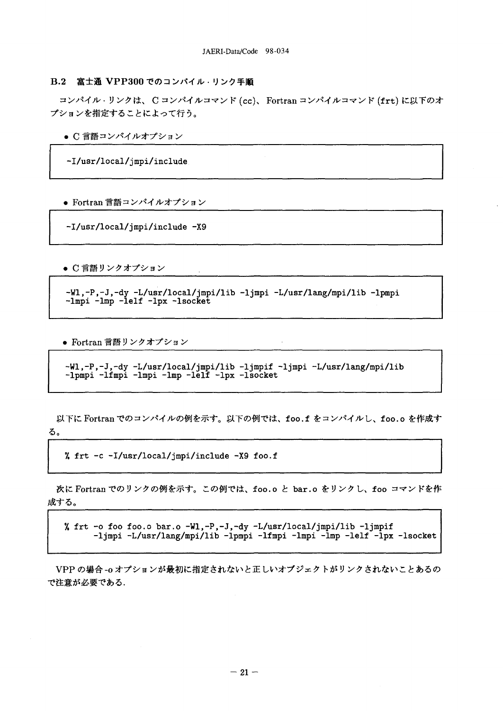### B.2 富士通 VPP300 でのコンパイル・リンク手順

コンパイル·リンクは、Cコンパイルコマンド (cc)、Fortran コンパイルコマンド (frt) に以下のオ プションを指定することによって行う。

● C 言語コンパイルオプション

-I/usr/local/jmpi/include

● Fortran 言語コンパイルオプション

-I/usr/local/jmpi/include -X9

● C 言語リンクオプション

-Wl,-P,-J,-dy -L/usr/local/jmpi/lib -ljmpi -L/usr/lang/mpi/lib -lpmpi  $-lmpi$   $-lmp$   $-lelf$   $-lpx$   $-lsocket$ 

• Fortran 言語リンクオプション

-Wl,-P,-J,-dy -L/usr/local/jmpi/lib -ljmpif -ljmpi -L/usr/lang/mpi/lib -lpmpi -lfmpi -lmpi -lmp -lelf -lpx -lsocket

以下に Fortran でのコンパイルの例を示す。以下の例では、foo.f をコンパイルし、foo.o を作成す る。

% frt -c -I/usr/local/jmpi/include -X9 foo.f

次に Fortran でのリンクの例を示す。この例では、foo.o と bar.o をリンクし、foo コマンドを作 成する。

% frt -o foo foo.o bar.o -Wl,-P,-J,-dy -L/usr/local/jmpi/lib -ljmpif<br>-ljmpi -L/usr/lang/mpi/lib -lpmpi -lfmpi -lmpi -lmp -lelf -lpx -lsocket

VPP の場合-oオプションが最初に指定されないと正しいオブジェクトがリンクされないことあるの で注意が必要である.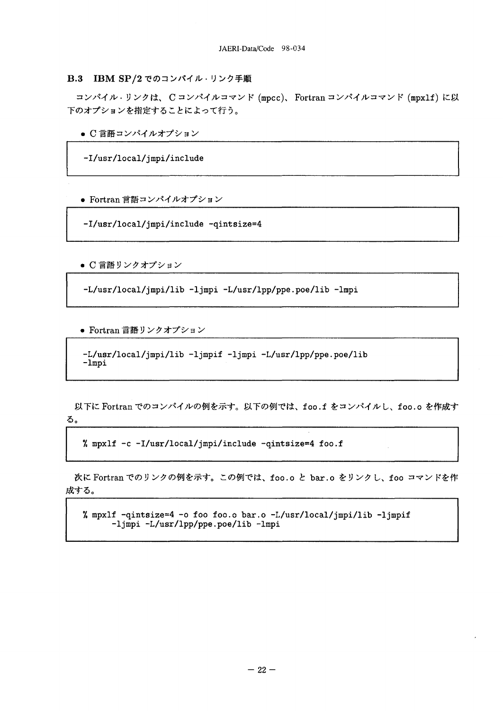B.3 IBM SP/2 でのコンパイル・リンク手順

コンパイル·リンクは、Cコンパイルコマンド (mpcc)、Fortran コンパイルコマンド (mpx1f) に以 下のオプションを指定することによって行う。

● C 言語コンパイルオプション

-I/usr/local/jmpi/include

● Fortran 言語コンパイルオプション

-I/usr/local/jmpi/include -qintsize=4

● C 言語リンクオプション

-L/usr/local/jmpi/lib -ljmpi -L/usr/lpp/ppe.poe/lib -lmpi

● Fortran 言語リンクオプション

```
-L/usr/local/jmpi/lib -ljmpif -ljmpi -L/usr/lpp/ppe.poe/lib
-lmpi
```
以下に Fortran でのコンパイルの例を示す。以下の例では、foo.f をコンパイルし、foo.o を作成す る。

% mpxlf -c -I/usr/local/jmpi/include -qintsize=4 foo.f

次に Fortran でのリンクの例を示す。この例では、foo.o と bar.o をリンクし、foo コマンドを作 成する。

% mpxlf -qintsize=4 -o foo foo.o bar.o -L/usr/local/jmpi/lib -ljmpif -ljmpi -L/usr/lpp/ppe.poe/lib -lmpi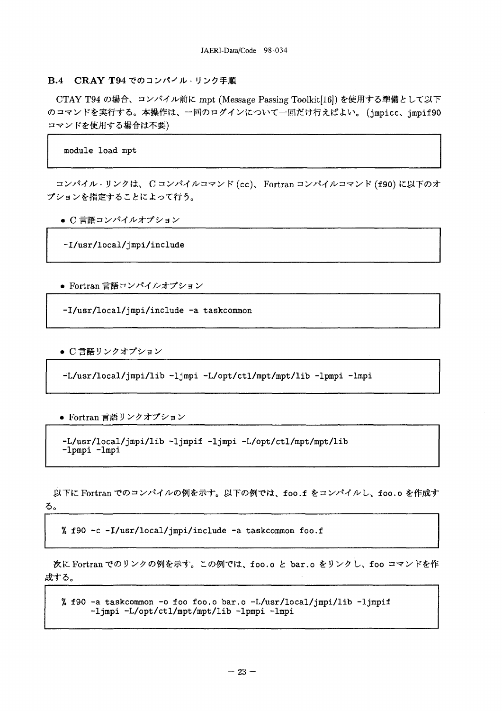## B.4 CRAY T94 でのコンパイル・リンク手順

CTAY T94 の場合、コンパイル前に mpt (Message Passing Toolkit[16]) を使用する準備として以下 のコマンドを実行する。本操作は、一回のログインについて一回だけ行えばよい。(jmpicc、jmpif90 コマンドを使用する場合は不要)

module load mpt

コンパイル·リンクは、Cコンパイルコマンド (cc)、Fortran コンパイルコマンド (f90) に以下のオ プションを指定することによって行う。

● C 言語コンパイルオプション

-I/usr/local/jmpi/include

● Fortran 言語コンパイルオプション

-I/usr/local/impi/include -a taskcommon

● C 言語リンクオプション

-L/usr/local/jmpi/lib -ljmpi -L/opt/ctl/mpt/mpt/lib -lpmpi -lmpi

● Fortran 言語リンクオプション

-L/usr/local/jmpi/lib -ljmpif -ljmpi -L/opt/ctl/mpt/mpt/lib -1pmpi -1mpi

以下に Fortran でのコンパイルの例を示す。以下の例では、foo.f をコンパイルし、foo.o を作成す る。

% f90 -c -I/usr/local/jmpi/include -a taskcommon foo.f

次に Fortran でのリンクの例を示す。この例では、foo.o と bar.o をリンクし、foo コマンドを作 成する。

% f90 -a taskcommon -o foo foo.o bar.o -L/usr/local/jmpi/lib -ljmpif -ljmpi -L/opt/ctl/mpt/mpt/lib -lpmpi -lmpi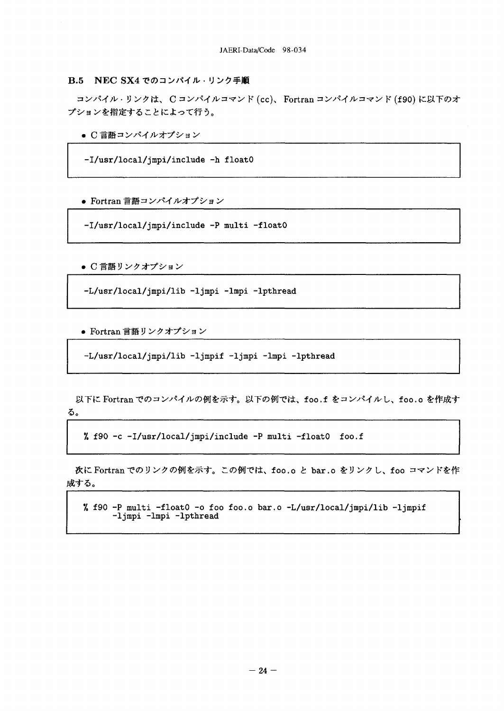# **B.5 NEC SX4 でのコンパイル・リンク手順**

コンパイル·リンクは、C コンパイルコマンド (cc)、Fortran コンパイルコマンド (f90) に以下のオ プションを指定することによって行う。

● C 言語コンパイルオプション

-I/usr/local/jmpi/include -h float0

● Fortran 言語コンパイルオプション

-I/usr/local/jmpi/include -P multi -float0

● C 言語リンクオプション

-L/usr/local/jmpi/lib -ljmpi -lmpi -lpthread

● Fortran 言語リンクオプション

-L/usr/local/jmpi/lib -ljmpif -ljmpi -lmpi -lpthread

以下に Fortran でのコンパイルの例を示す。以下の例では、foo.f をコンパイルし、foo.o を作成す る。

% f90 -c -I/usr/local/jmpi/include -P multi -float0 foo.f

次に Fortran でのリンクの例を示す。この例では、foo.o と bar.o をリンクし、foo コマンドを作 成する。

% f90 -P multi -float0 -o foo foo.o bar.o -L/usr/local/jmpi/lib -ljmpif -ljmpi -lmpi -lpthread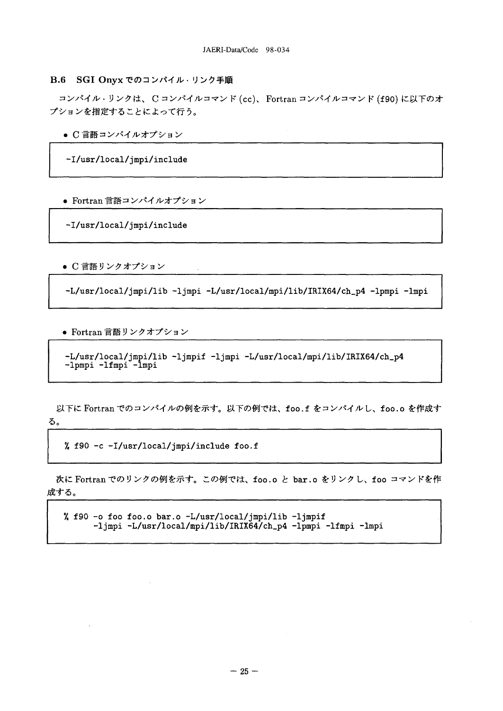### B.6 SGI Onyx でのコンパイル・リンク手順

コンパイル·リンクは、Cコンパイルコマンド (cc)、Fortran コンパイルコマンド (f90) に以下のオ プションを指定することによって行う。

● C 言語コンパイルオプション

-I/usr/local/jmpi/include

● Fortran 言語コンパイルオプション

-I/usr/local/jmpi/include

● C 言語リンクオプション

-L/usr/local/jmpi/lib -ljmpi -L/usr/local/mpi/lib/IRIX64/ch\_p4 -lpmpi -lmpi

● Fortran 言語リンクオプション

-L/usr/local/jmpi/lib -ljmpif -ljmpi -L/usr/local/mpi/lib/IRIX64/ch\_p4 -1pmpi -1fmpi -1mpi

以下に Fortran でのコンパイルの例を示す。以下の例では、foo.f をコンパイルし、foo.o を作成す る。

% f90 -c -I/usr/local/jmpi/include foo.f

次に Fortran でのリンクの例を示す。この例では、foo.o と bar.o をリンクし、foo コマンドを作 成する。

% f90 -o foo foo.o bar.o -L/usr/local/jmpi/lib -ljmpif -ljmpi -L/usr/local/mpi/lib/IRIX64/ch\_p4 -lpmpi -lfmpi -lmpi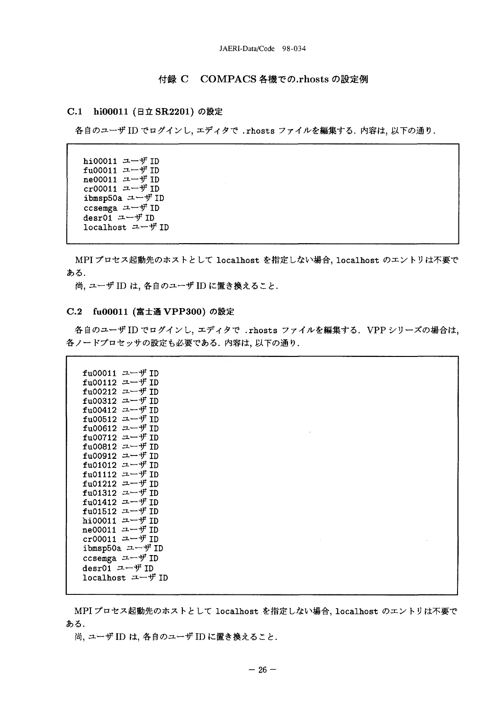# 付録 C COMPACS 各機での.rhosts の設定例

### C.1 hi00011 (日立 SR2201) の設定

各自のユーザ ID でログインし、エディタで.rhosts ファイルを編集する. 内容は、以下の通り.

hi00011 ユーザ ID fu00011 ユーザ ID ne00011 ユーザ ID  $cr00011$   $\rightarrow$   $\rightarrow$   $\overline{f}$  ID ibmsp50a ユーザ ID ccsemga ユーザ ID desr01 ユーザ ID localhost ユーザ ID

MPI プロセス起動先のホストとして localhost を指定しない場合, localhost のエントリは不要で ある.

尚, ユーザ ID は, 各自のユーザ ID に置き換えること.

## C.2 fu00011 (富士通 VPP300) の設定

各自のユーザ ID でログインし、エディタで .rhosts ファイルを編集する. VPP シリーズの場合は, 各ノードプロセッサの設定も必要である. 内容は、以下の通り.

| fu00011 ユーザ ID                     |  |  |  |
|------------------------------------|--|--|--|
| fu00112 $\equiv -\frac{1}{2}$ ID   |  |  |  |
| fu00212 ユーザ ID                     |  |  |  |
| fu00312 ユーザ ID                     |  |  |  |
| fu00412 ユーザ ID                     |  |  |  |
| fu00512 ユーザ ID                     |  |  |  |
| fu00612 ユーザ ID                     |  |  |  |
| fu00712 ユーザ ID                     |  |  |  |
| fu00812 ユーザ ID                     |  |  |  |
| fu00912 ユーザ ID                     |  |  |  |
| fu01012 ユーザ ID                     |  |  |  |
| fu01112 ユーザ ID                     |  |  |  |
| fu01212 ユーザ ID                     |  |  |  |
| fu01312 ユーザ ID                     |  |  |  |
| fu01412 ユーザ ID                     |  |  |  |
| fu01512 ユーザ ID                     |  |  |  |
| hi00011 ユーザ ID                     |  |  |  |
| ne00011 $\equiv -\frac{1}{\pi}$ ID |  |  |  |
| $cr00011$ ユーザ ID                   |  |  |  |
| ibmsp50a ユーザ ID                    |  |  |  |
| ccsemga ユーザ ID                     |  |  |  |
| desr01 ユーザ ID                      |  |  |  |
| localhost ユーザ ID                   |  |  |  |
|                                    |  |  |  |
|                                    |  |  |  |

MPI プロセス起動先のホストとして localhost を指定しない場合, localhost のエントリは不要で ある.

尚, ユーザ ID は, 各自のユーザ ID に置き換えること.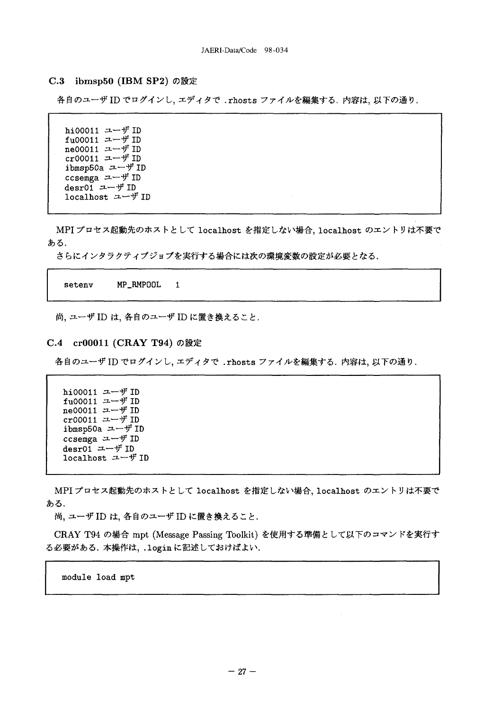### C.3 ibmsp50 (IBM SP2)の設定

各自のユーザ ID でログインし、エディタで.rhosts ファイルを編集する. 内容は、以下の通り.

hi00011 ユーザ ID  $fu00011$   $u$  –  $\#$  ID ne00011 ユーザ ID cr00011 ユーザ ID ibmsp50a ユーザ ID ccsemga  $\Box$   $\neg$   $\not\vdash$  ID desr01  $\Box$   $\neg$   $\neg$   $\psi$  ID localhost ユーザ ID

MPI プロセス起動先のホストとして localhost を指定しない場合, localhost のエントリは不要で ある.

さらにインタラクティブジョブを実行する場合には次の環境変数の設定が必要となる。

setenv MP RMPOOL  $\mathbf{1}$ 

尚, ユーザ ID は, 各自のユーザ ID に置き換えること.

### C.4 cr00011 (CRAY T94)の設定

各自のユーザ ID でログインし、エディタで.rhosts ファイルを編集する. 内容は、以下の通り.

hi00011 ユーザ ID fu00011 ユーザ ID ne00011 ユーザ ID cr00011  $\uplus$  TD ibmsp50a ユーザ ID ccsemga ユーザ ID desr01  $\rightarrow$   $\rightarrow$   $\rightarrow$   $\rightarrow$  ID localhost ユーザ ID

MPI プロセス起動先のホストとして 1ocalhost を指定しない場合、localhost のエントリは不要で ある.

尚, ユーザ ID は, 各自のユーザ ID に置き換えること.

CRAY T94 の場合 mpt (Message Passing Toolkit) を使用する準備として以下のコマンドを実行す る必要がある. 本操作は、.loginに記述しておけばよい.

module load mpt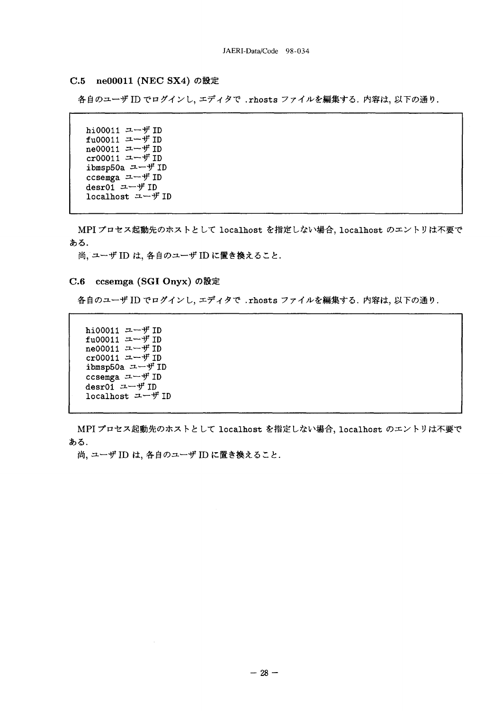### C.5 ne00011 (NEC SX4) の設定

各自のユーザ ID でログインし、エディタで、rhosts ファイルを編集する、内容は、以下の通り、

hi00011 ユーザ ID fu00011 ユーザ ID ne00011 ユーザ ID cr00011 ユーザ ID ibmsp50a ユーザ ID ccsemga ユーザ ID desr01  $2 - 4$  ID localhost ユーザ ID

MPI プロセス起動先のホストとして localhost を指定しない場合, localhost のエントリは不要で ある.

尚、 ユーザ ID は、各自のユーザ ID に置き換えること.

### C.6 ccsemga (SGI Onyx) の設定

各自のユーザ ID でログインし、エディタで.rhosts ファイルを編集する. 内容は、以下の通り.

hi00011 ユーザ ID fu00011 ユーザ ID ne00011 ユーザ ID cr00011 ユーザ ID ibmsp50a ユーザ ID ccsemga  $\Box$   $\neg$   $\not\vdash$  ID desr01  $1 - 4$  ID localhost ユーザ ID

MPI プロセス起動先のホストとして localhost を指定しない場合, localhost のエントリは不要で ある.

尚、 ユーザ ID は、各自のユーザ ID に置き換えること.

 $\sim$